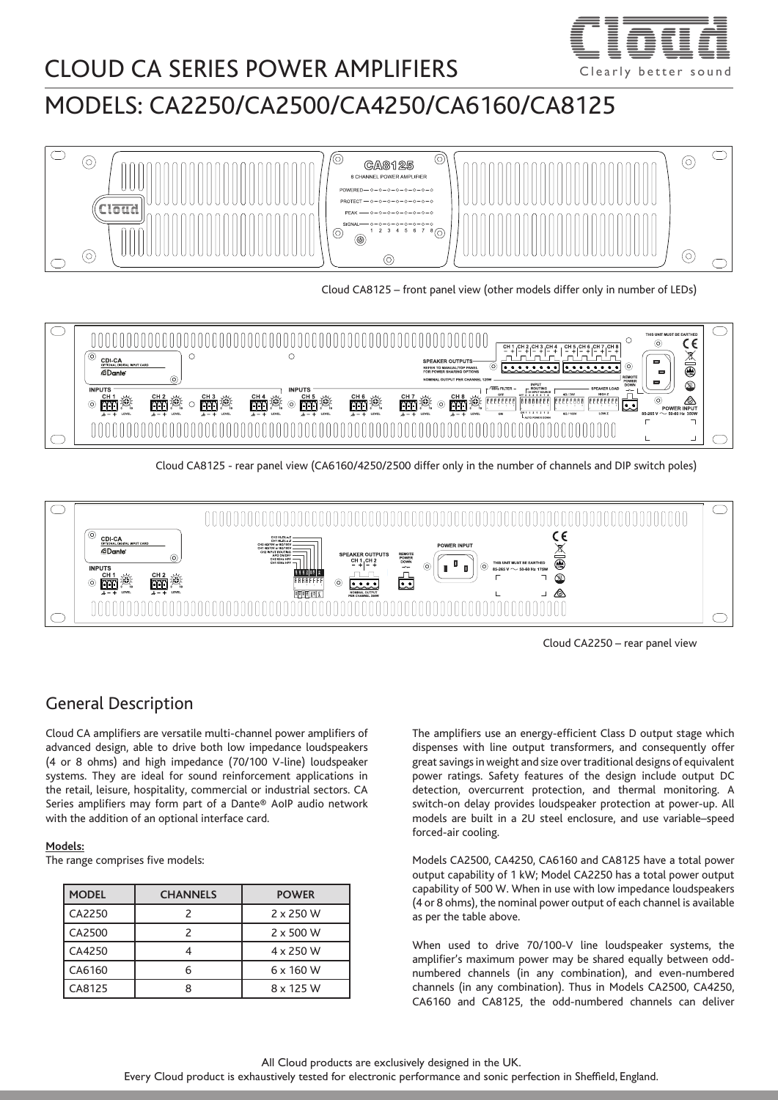

## CLOUD CA SERIES POWER AMPLIFIERS  $\overline{C}$  clearly better sounds on  $\overline{C}$

# MODELS: CA2250/CA2500/CA4250/CA6160/CA8125



Cloud CA8125 – front panel view (other models differ only in number of LEDs)



Cloud CA8125 - rear panel view (CA6160/4250/2500 differ only in the number of channels and DIP switch poles)



Cloud CA2250 – rear panel view

#### General Description

Cloud CA amplifiers are versatile multi-channel power amplifiers of advanced design, able to drive both low impedance loudspeakers (4 or 8 ohms) and high impedance (70/100 V-line) loudspeaker systems. They are ideal for sound reinforcement applications in the retail, leisure, hospitality, commercial or industrial sectors. CA Series amplifiers may form part of a Dante® AoIP audio network with the addition of an optional interface card.

#### **Models:**

The range comprises five models:

| <b>MODEL</b> | <b>CHANNELS</b> | <b>POWER</b>     |  |  |
|--------------|-----------------|------------------|--|--|
| CA2250       |                 | $2 \times 250$ W |  |  |
| CA2500       |                 | $2 \times 500$ W |  |  |
| CA4250       |                 | 4 x 250 W        |  |  |
| CA6160       |                 | $6 \times 160$ W |  |  |
| CA8125       | Ω               | 8 x 125 W        |  |  |

The amplifiers use an energy-efficient Class D output stage which dispenses with line output transformers, and consequently offer great savings in weight and size over traditional designs of equivalent power ratings. Safety features of the design include output DC detection, overcurrent protection, and thermal monitoring. A switch-on delay provides loudspeaker protection at power-up. All models are built in a 2U steel enclosure, and use variable–speed forced-air cooling.

Models CA2500, CA4250, CA6160 and CA8125 have a total power output capability of 1 kW; Model CA2250 has a total power output capability of 500 W. When in use with low impedance loudspeakers (4 or 8 ohms), the nominal power output of each channel is available as per the table above.

When used to drive 70/100-V line loudspeaker systems, the amplifier's maximum power may be shared equally between oddnumbered channels (in any combination), and even-numbered channels (in any combination). Thus in Models CA2500, CA4250, CA6160 and CA8125, the odd-numbered channels can deliver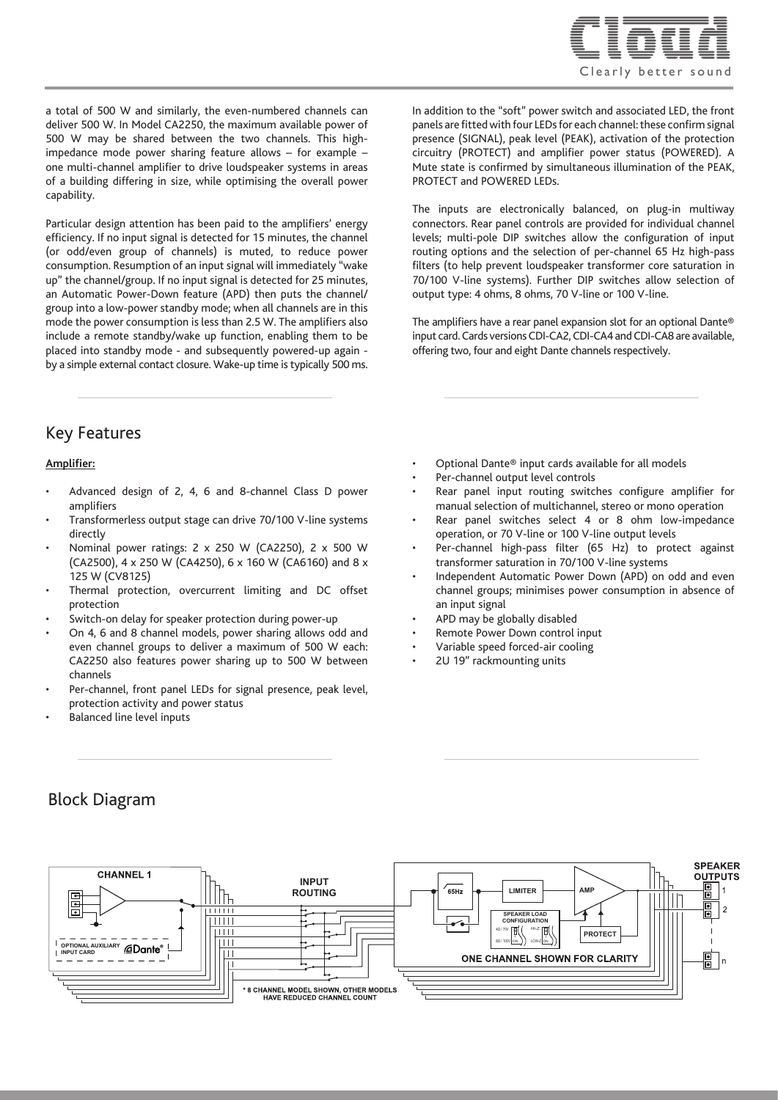

a total of 500 W and similarly, the even-numbered channels can deliver 500 W. In Model CA2250, the maximum available power of 500 W may be shared between the two channels. This highimpedance mode power sharing feature allows – for example – one multi-channel amplifier to drive loudspeaker systems in areas of a building differing in size, while optimising the overall power capability.

Particular design attention has been paid to the amplifiers' energy efficiency. If no input signal is detected for 15 minutes, the channel (or odd/even group of channels) is muted, to reduce power consumption. Resumption of an input signal will immediately "wake up" the channel/group. If no input signal is detected for 25 minutes, an Automatic Power-Down feature (APD) then puts the channel/ group into a low-power standby mode; when all channels are in this mode the power consumption is less than 2.5 W. The amplifiers also include a remote standby/wake up function, enabling them to be placed into standby mode - and subsequently powered-up again by a simple external contact closure. Wake-up time is typically 500 ms.

Key Features

#### **Amplifier:**

- Advanced design of 2, 4, 6 and 8-channel Class D power amplifiers
- Transformerless output stage can drive 70/100 V-line systems directly
- Nominal power ratings: 2 x 250 W (CA2250), 2 x 500 W (CA2500), 4 x 250 W (CA4250), 6 x 160 W (CA6160) and 8 x 125 W (CV8125)
- Thermal protection, overcurrent limiting and DC offset protection
- Switch-on delay for speaker protection during power-up
- On 4, 6 and 8 channel models, power sharing allows odd and even channel groups to deliver a maximum of 500 W each: CA2250 also features power sharing up to 500 W between channels
- Per-channel, front panel LEDs for signal presence, peak level, protection activity and power status
- Balanced line level inputs

• Optional Dante® input cards available for all models

output type: 4 ohms, 8 ohms, 70 V-line or 100 V-line.

offering two, four and eight Dante channels respectively.

Per-channel output level controls

PROTECT and POWERED LEDs.

Rear panel input routing switches configure amplifier for manual selection of multichannel, stereo or mono operation

In addition to the "soft" power switch and associated LED, the front panels are fitted with four LEDs for each channel: these confirm signal presence (SIGNAL), peak level (PEAK), activation of the protection circuitry (PROTECT) and amplifier power status (POWERED). A Mute state is confirmed by simultaneous illumination of the PEAK,

The inputs are electronically balanced, on plug-in multiway connectors. Rear panel controls are provided for individual channel levels; multi-pole DIP switches allow the configuration of input routing options and the selection of per-channel 65 Hz high-pass filters (to help prevent loudspeaker transformer core saturation in 70/100 V-line systems). Further DIP switches allow selection of

The amplifiers have a rear panel expansion slot for an optional Dante® input card. Cards versions CDI-CA2, CDI-CA4 and CDI-CA8 are available,

- Rear panel switches select 4 or 8 ohm low-impedance operation, or 70 V-line or 100 V-line output levels
- Per-channel high-pass filter (65 Hz) to protect against transformer saturation in 70/100 V-line systems
- Independent Automatic Power Down (APD) on odd and even channel groups; minimises power consumption in absence of an input signal
- APD may be globally disabled
- Remote Power Down control input
- Variable speed forced-air cooling
- 2U 19" rackmounting units

#### Block Diagram

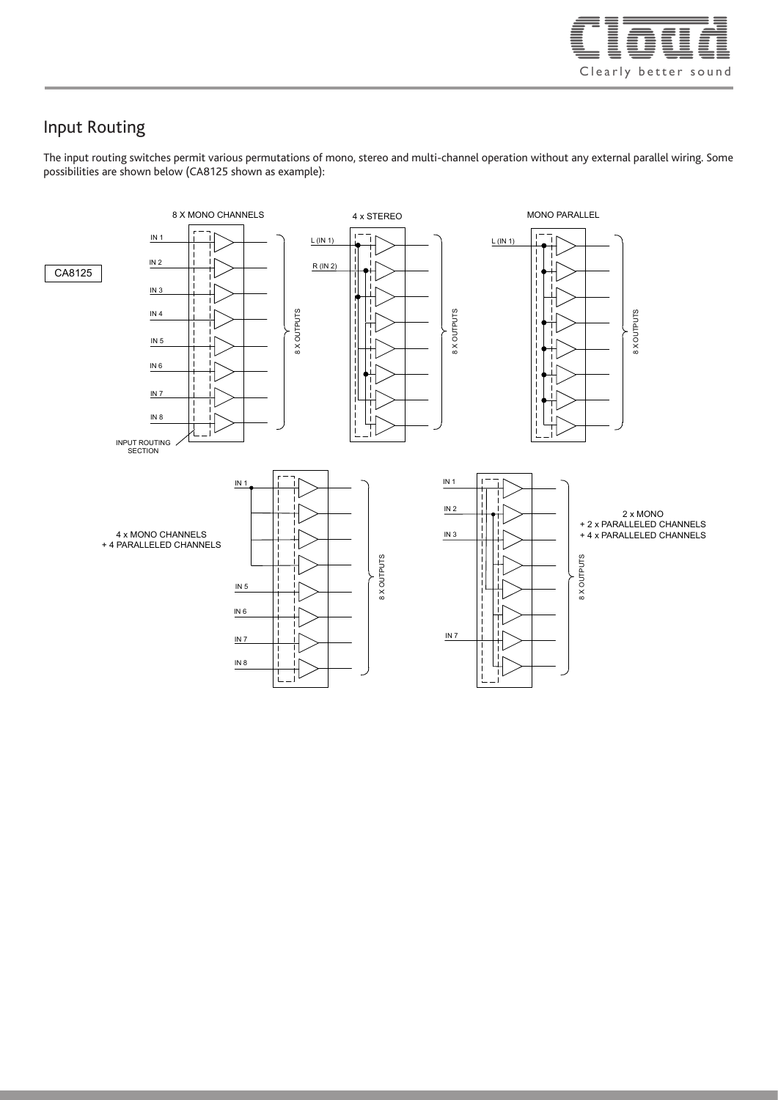

#### Input Routing

The input routing switches permit various permutations of mono, stereo and multi-channel operation without any external parallel wiring. Some possibilities are shown below (CA8125 shown as example):

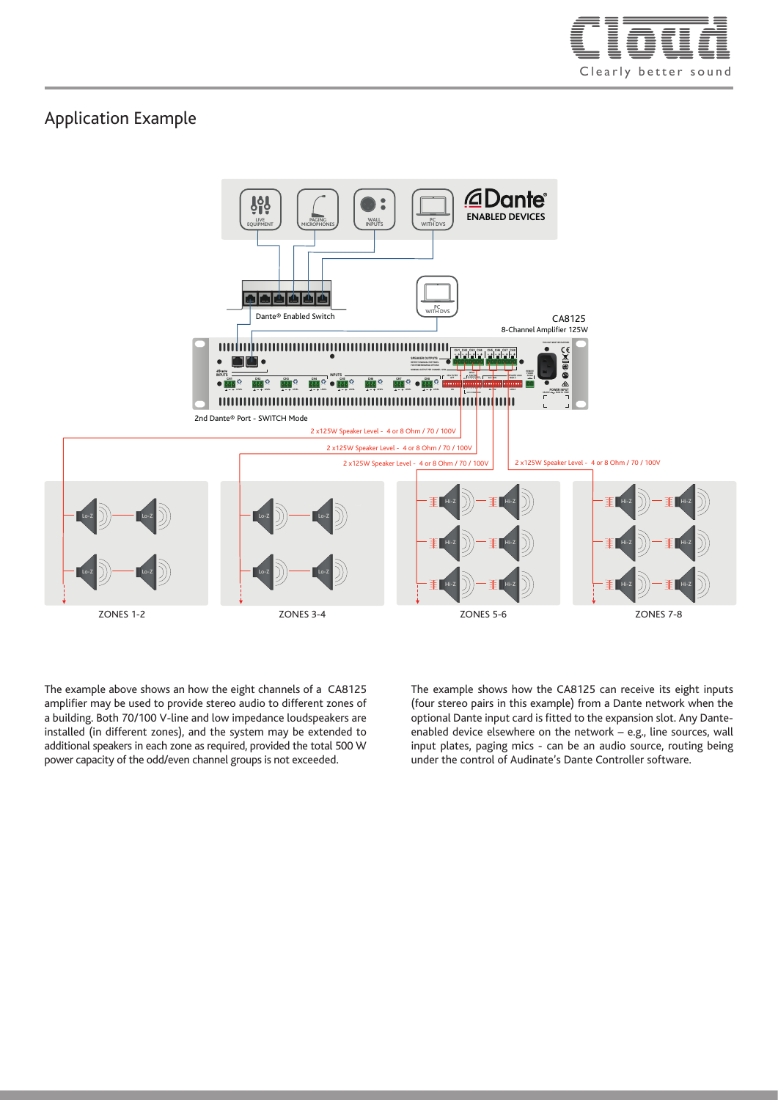

#### Application Example



The example above shows an how the eight channels of a CA8125 amplifier may be used to provide stereo audio to different zones of a building. Both 70/100 V-line and low impedance loudspeakers are installed (in different zones), and the system may be extended to additional speakers in each zone as required, provided the total 500 W power capacity of the odd/even channel groups is not exceeded.

The example shows how the CA8125 can receive its eight inputs (four stereo pairs in this example) from a Dante network when the optional Dante input card is fitted to the expansion slot. Any Danteenabled device elsewhere on the network – e.g., line sources, wall input plates, paging mics - can be an audio source, routing being under the control of Audinate's Dante Controller software.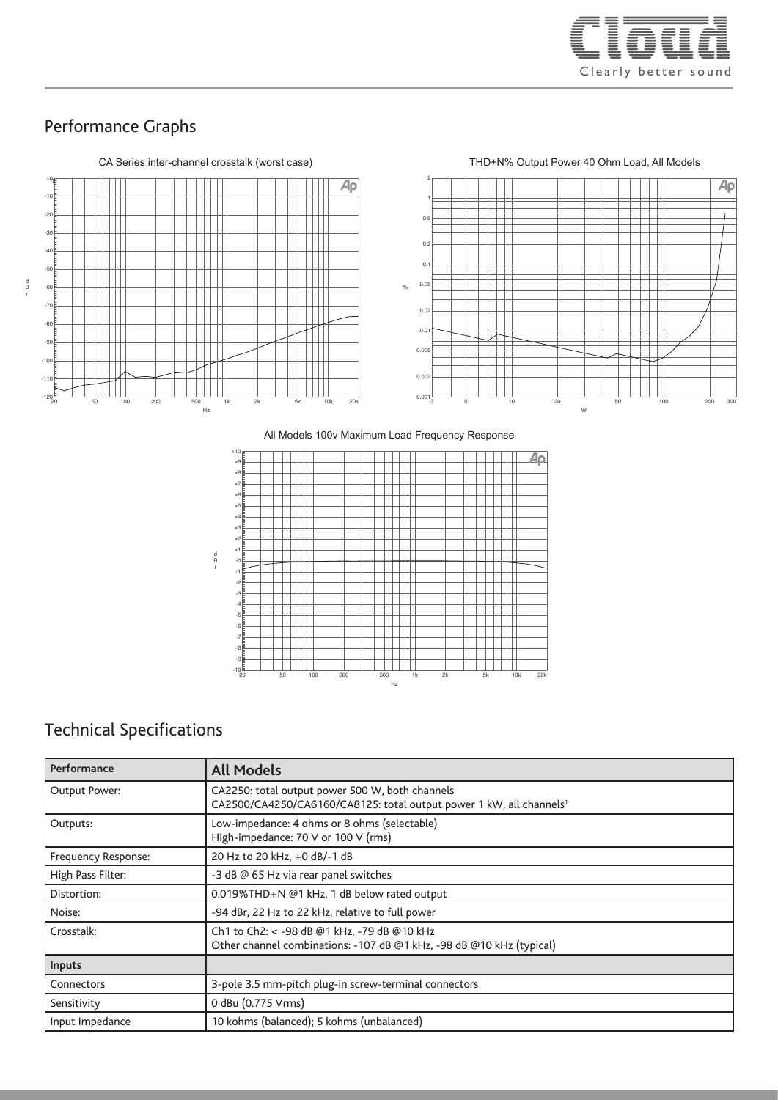

### Performance Graphs



All Models 100V Maximum Load Frequency Response All Models 100v Maximum Load Frequency Response



## Technical Specifications

| Performance         | <b>All Models</b>                                                                                                                  |  |  |  |
|---------------------|------------------------------------------------------------------------------------------------------------------------------------|--|--|--|
| Output Power:       | CA2250: total output power 500 W, both channels<br>CA2500/CA4250/CA6160/CA8125: total output power 1 kW, all channels <sup>1</sup> |  |  |  |
| Outputs:            | Low-impedance: 4 ohms or 8 ohms (selectable)<br>High-impedance: 70 V or 100 V (rms)                                                |  |  |  |
| Frequency Response: | 20 Hz to 20 kHz, +0 dB/-1 dB                                                                                                       |  |  |  |
| High Pass Filter:   | -3 dB @ 65 Hz via rear panel switches                                                                                              |  |  |  |
| Distortion:         | 0.019%THD+N @1 kHz, 1 dB below rated output                                                                                        |  |  |  |
| Noise:              | -94 dBr, 22 Hz to 22 kHz, relative to full power                                                                                   |  |  |  |
| Crosstalk:          | Ch1 to Ch2: < - 98 dB @1 kHz, - 79 dB @10 kHz<br>Other channel combinations: -107 dB @1 kHz, -98 dB @10 kHz (typical)              |  |  |  |
| Inputs              |                                                                                                                                    |  |  |  |
| Connectors          | 3-pole 3.5 mm-pitch plug-in screw-terminal connectors                                                                              |  |  |  |
| Sensitivity         | 0 dBu (0.775 Vrms)                                                                                                                 |  |  |  |
| Input Impedance     | 10 kohms (balanced); 5 kohms (unbalanced)                                                                                          |  |  |  |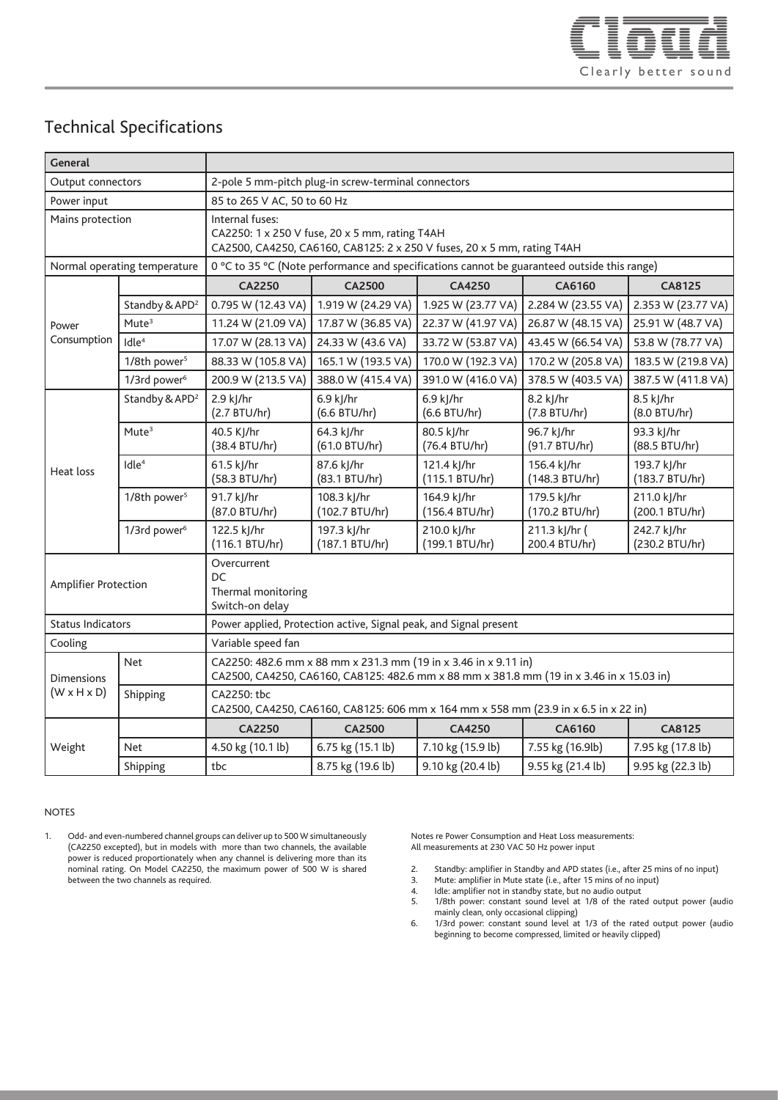

### Technical Specifications

| General                                      |                              |                                                                                                                                                             |                               |                               |                                |                               |  |  |
|----------------------------------------------|------------------------------|-------------------------------------------------------------------------------------------------------------------------------------------------------------|-------------------------------|-------------------------------|--------------------------------|-------------------------------|--|--|
| Output connectors                            |                              | 2-pole 5 mm-pitch plug-in screw-terminal connectors                                                                                                         |                               |                               |                                |                               |  |  |
| Power input                                  |                              | 85 to 265 V AC, 50 to 60 Hz                                                                                                                                 |                               |                               |                                |                               |  |  |
| Mains protection                             |                              | Internal fuses:<br>CA2250: 1 x 250 V fuse, 20 x 5 mm, rating T4AH<br>CA2500, CA4250, CA6160, CA8125: 2 x 250 V fuses, 20 x 5 mm, rating T4AH                |                               |                               |                                |                               |  |  |
|                                              | Normal operating temperature | 0 °C to 35 °C (Note performance and specifications cannot be guaranteed outside this range)                                                                 |                               |                               |                                |                               |  |  |
| Power<br>Consumption                         |                              | <b>CA2250</b>                                                                                                                                               | <b>CA2500</b>                 | CA4250                        | CA6160                         | <b>CA8125</b>                 |  |  |
|                                              | Standby & APD <sup>2</sup>   | 0.795 W (12.43 VA)                                                                                                                                          | 1.919 W (24.29 VA)            | 1.925 W (23.77 VA)            | 2.284 W (23.55 VA)             | 2.353 W (23.77 VA)            |  |  |
|                                              | Mute <sup>3</sup>            | 11.24 W (21.09 VA)                                                                                                                                          | 17.87 W (36.85 VA)            | 22.37 W (41.97 VA)            | 26.87 W (48.15 VA)             | 25.91 W (48.7 VA)             |  |  |
|                                              | Idle <sup>4</sup>            | 17.07 W (28.13 VA)                                                                                                                                          | 24.33 W (43.6 VA)             | 33.72 W (53.87 VA)            | 43.45 W (66.54 VA)             | 53.8 W (78.77 VA)             |  |  |
|                                              | 1/8th power <sup>5</sup>     | 88.33 W (105.8 VA)                                                                                                                                          | 165.1 W (193.5 VA)            | 170.0 W (192.3 VA)            | 170.2 W (205.8 VA)             | 183.5 W (219.8 VA)            |  |  |
|                                              | 1/3rd power <sup>6</sup>     | 200.9 W (213.5 VA)                                                                                                                                          | 388.0 W (415.4 VA)            | 391.0 W (416.0 VA)            | 378.5 W (403.5 VA)             | 387.5 W (411.8 VA)            |  |  |
| Heat loss                                    | Standby & APD <sup>2</sup>   | 2.9 kJ/hr<br>(2.7 BTU/hr)                                                                                                                                   | 6.9 kJ/hr<br>(6.6 BTU/hr)     | 6.9 kJ/hr<br>(6.6 BTU/hr)     | 8.2 kJ/hr<br>(7.8 BTU/hr)      | 8.5 kJ/hr<br>(8.0 BTU/hr)     |  |  |
|                                              | Mute <sup>3</sup>            | 40.5 KJ/hr<br>(38.4 BTU/hr)                                                                                                                                 | 64.3 kJ/hr<br>(61.0 BTU/hr)   | 80.5 kJ/hr<br>(76.4 BTU/hr)   | 96.7 kJ/hr<br>(91.7 BTU/hr)    | 93.3 kJ/hr<br>(88.5 BTU/hr)   |  |  |
|                                              | Idle <sup>4</sup>            | 61.5 kJ/hr<br>(58.3 BTU/hr)                                                                                                                                 | 87.6 kJ/hr<br>(83.1 BTU/hr)   | 121.4 kJ/hr<br>(115.1 BTU/hr) | 156.4 kJ/hr<br>(148.3 BTU/hr)  | 193.7 kJ/hr<br>(183.7 BTU/hr) |  |  |
|                                              | 1/8th power <sup>5</sup>     | 91.7 kJ/hr<br>(87.0 BTU/hr)                                                                                                                                 | 108.3 kJ/hr<br>(102.7 BTU/hr) | 164.9 kJ/hr<br>(156.4 BTU/hr) | 179.5 kJ/hr<br>(170.2 BTU/hr)  | 211.0 kJ/hr<br>(200.1 BTU/hr) |  |  |
|                                              | 1/3rd power <sup>6</sup>     | 122.5 kJ/hr<br>(116.1 BTU/hr)                                                                                                                               | 197.3 kJ/hr<br>(187.1 BTU/hr) | 210.0 kJ/hr<br>(199.1 BTU/hr) | 211.3 kJ/hr (<br>200.4 BTU/hr) | 242.7 kJ/hr<br>(230.2 BTU/hr) |  |  |
| Amplifier Protection                         |                              | Overcurrent<br>DC<br>Thermal monitoring<br>Switch-on delay                                                                                                  |                               |                               |                                |                               |  |  |
| <b>Status Indicators</b>                     |                              | Power applied, Protection active, Signal peak, and Signal present                                                                                           |                               |                               |                                |                               |  |  |
| Cooling                                      |                              | Variable speed fan                                                                                                                                          |                               |                               |                                |                               |  |  |
| <b>Dimensions</b><br>$(W \times H \times D)$ | <b>Net</b>                   | CA2250: 482.6 mm x 88 mm x 231.3 mm (19 in x 3.46 in x 9.11 in)<br>CA2500, CA4250, CA6160, CA8125: 482.6 mm x 88 mm x 381.8 mm (19 in x 3.46 in x 15.03 in) |                               |                               |                                |                               |  |  |
|                                              | Shipping                     | CA2250: tbc<br>CA2500, CA4250, CA6160, CA8125: 606 mm x 164 mm x 558 mm (23.9 in x 6.5 in x 22 in)                                                          |                               |                               |                                |                               |  |  |
| Weight                                       |                              | <b>CA2250</b>                                                                                                                                               | <b>CA2500</b>                 | CA4250                        | CA6160                         | <b>CA8125</b>                 |  |  |
|                                              | <b>Net</b>                   | 4.50 kg (10.1 lb)                                                                                                                                           | 6.75 kg (15.1 lb)             | 7.10 kg (15.9 lb)             | 7.55 kg (16.9lb)               | 7.95 kg (17.8 lb)             |  |  |
|                                              | Shipping                     | tbc                                                                                                                                                         | 8.75 kg (19.6 lb)             | 9.10 kg (20.4 lb)             | 9.55 kg (21.4 lb)              | 9.95 kg (22.3 lb)             |  |  |

#### NOTES

1. Odd- and even-numbered channel groups can deliver up to 500 W simultaneously (CA2250 excepted), but in models with more than two channels, the available power is reduced proportionately when any channel is delivering more than its nominal rating. On Model CA2250, the maximum power of 500 W is shared between the two channels as required.

Notes re Power Consumption and Heat Loss measurements: All measurements at 230 VAC 50 Hz power input

- 2. Standby: amplifier in Standby and APD states (i.e., after 25 mins of no input)<br>3. Mute: amplifier in Mute state (i.e., after 15 mins of no input)
- 3. Mute: amplifier in Mute state (i.e., after 15 mins of no input)<br>4. Idle: amplifier not in standby state, but no audio output
- 4. Idle: amplifier not in standby state, but no audio output<br>5. 1/8th power: constant sound level at 1/8 of the rate 1/8th power: constant sound level at 1/8 of the rated output power (audio mainly clean, only occasional clipping)
- 6. 1/3rd power: constant sound level at 1/3 of the rated output power (audio beginning to become compressed, limited or heavily clipped)